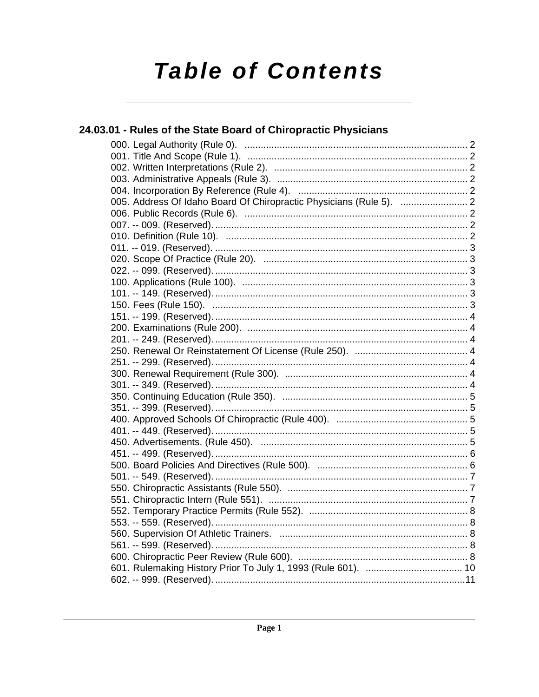# **Table of Contents**

| 24.03.01 - Rules of the State Board of Chiropractic Physicians |  |
|----------------------------------------------------------------|--|
|                                                                |  |
|                                                                |  |
|                                                                |  |
|                                                                |  |
|                                                                |  |
|                                                                |  |
|                                                                |  |
|                                                                |  |
|                                                                |  |
|                                                                |  |
|                                                                |  |
|                                                                |  |
|                                                                |  |
|                                                                |  |
|                                                                |  |
|                                                                |  |
|                                                                |  |
|                                                                |  |
|                                                                |  |
|                                                                |  |
|                                                                |  |
|                                                                |  |
|                                                                |  |
|                                                                |  |
|                                                                |  |
|                                                                |  |
|                                                                |  |
|                                                                |  |
|                                                                |  |
|                                                                |  |
|                                                                |  |
|                                                                |  |
|                                                                |  |
|                                                                |  |
|                                                                |  |
|                                                                |  |
|                                                                |  |
|                                                                |  |
|                                                                |  |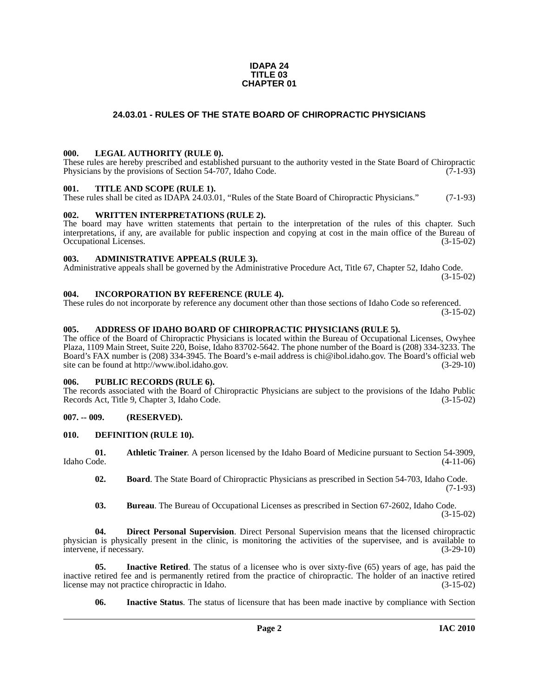#### **IDAPA 24 TITLE 03 CHAPTER 01**

#### **24.03.01 - RULES OF THE STATE BOARD OF CHIROPRACTIC PHYSICIANS**

#### <span id="page-1-1"></span><span id="page-1-0"></span>**000. LEGAL AUTHORITY (RULE 0).**

These rules are hereby prescribed and established pursuant to the authority vested in the State Board of Chiropractic Physicians by the provisions of Section 54-707, Idaho Code. (7-1-93)

#### <span id="page-1-2"></span>**001. TITLE AND SCOPE (RULE 1).**

These rules shall be cited as IDAPA 24.03.01, "Rules of the State Board of Chiropractic Physicians." (7-1-93)

#### <span id="page-1-3"></span>**002. WRITTEN INTERPRETATIONS (RULE 2).**

The board may have written statements that pertain to the interpretation of the rules of this chapter. Such interpretations, if any, are available for public inspection and copying at cost in the main office of the Bureau of Occupational Licenses. (3-15-02) Occupational Licenses.

#### <span id="page-1-4"></span>**003. ADMINISTRATIVE APPEALS (RULE 3).**

Administrative appeals shall be governed by the Administrative Procedure Act, Title 67, Chapter 52, Idaho Code. (3-15-02)

<span id="page-1-5"></span>**004. INCORPORATION BY REFERENCE (RULE 4).**

These rules do not incorporate by reference any document other than those sections of Idaho Code so referenced. (3-15-02)

#### <span id="page-1-6"></span>**005. ADDRESS OF IDAHO BOARD OF CHIROPRACTIC PHYSICIANS (RULE 5).**

[The office of the Board of Chiropractic Physicians is located within the Bureau of Occupational Licenses, Owyhee](mailto:chi@ibol.idaho.gov)  Plaza, 1109 Main Street, Suite 220, Boise, Idaho 83702-5642. The phone number of the Board is (208) 334-3233. The Board's FAX number is (208) 334-3945. The Board's e-mail address is chi@ibol.idaho.gov. The Board's official web [site can be found at](mailto:chi@ibol.idaho.gov) [http://www.ibol.idaho.gov. \(3-29-10\)](http://www.ibol.idaho.gov)

#### <span id="page-1-7"></span>**006. PUBLIC RECORDS (RULE 6).**

The records associated with the Board of Chiropractic Physicians are subject to the provisions of the Idaho Public Records Act, Title 9, Chapter 3, Idaho Code. (3-15-02)

#### <span id="page-1-8"></span>**007. -- 009. (RESERVED).**

#### <span id="page-1-13"></span><span id="page-1-9"></span>**010. DEFINITION (RULE 10).**

**01. Athletic Trainer**. A person licensed by the Idaho Board of Medicine pursuant to Section 54-3909, Idaho Code. (4-11-06)

- <span id="page-1-11"></span><span id="page-1-10"></span>**02. Board**. The State Board of Chiropractic Physicians as prescribed in Section 54-703, Idaho Code. (7-1-93)
- <span id="page-1-14"></span><span id="page-1-12"></span>**03. Bureau**. The Bureau of Occupational Licenses as prescribed in Section 67-2602, Idaho Code. (3-15-02)

**04. Direct Personal Supervision**. Direct Personal Supervision means that the licensed chiropractic physician is physically present in the clinic, is monitoring the activities of the supervisee, and is available to intervene, if necessary. (3-29-10)

**05. Inactive Retired**. The status of a licensee who is over sixty-five (65) years of age, has paid the inactive retired fee and is permanently retired from the practice of chiropractic. The holder of an inactive retired license may not practice chiropractic in Idaho. (3-15-02)

<span id="page-1-16"></span><span id="page-1-15"></span>**06. Inactive Status**. The status of licensure that has been made inactive by compliance with Section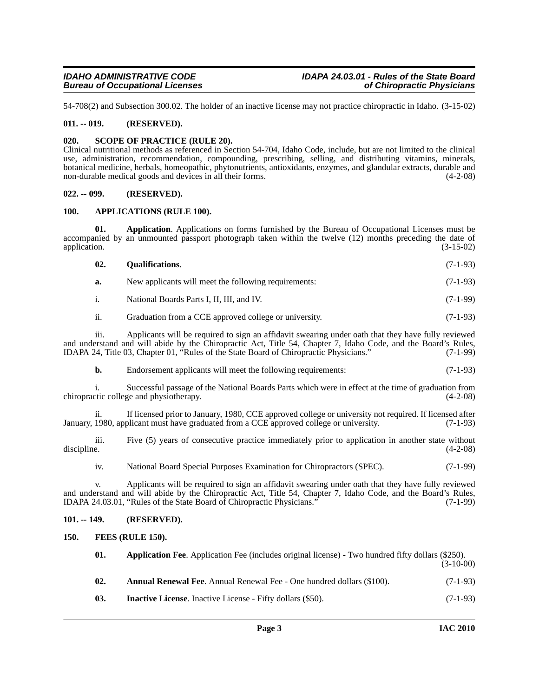54-708(2) and Subsection 300.02. The holder of an inactive license may not practice chiropractic in Idaho. (3-15-02)

#### <span id="page-2-0"></span>**011. -- 019. (RESERVED).**

#### <span id="page-2-12"></span><span id="page-2-1"></span>**020. SCOPE OF PRACTICE (RULE 20).**

Clinical nutritional methods as referenced in Section 54-704, Idaho Code, include, but are not limited to the clinical use, administration, recommendation, compounding, prescribing, selling, and distributing vitamins, minerals, botanical medicine, herbals, homeopathic, phytonutrients, antioxidants, enzymes, and glandular extracts, durable and non-durable medical goods and devices in all their forms. (4-2-08)

#### <span id="page-2-2"></span>**022. -- 099. (RESERVED).**

#### <span id="page-2-8"></span><span id="page-2-3"></span>**100. APPLICATIONS (RULE 100).**

**01. Application**. Applications on forms furnished by the Bureau of Occupational Licenses must be accompanied by an unmounted passport photograph taken within the twelve (12) months preceding the date of application. (3-15-02) application. (3-15-02)

<span id="page-2-11"></span>

| 02. | <b>Qualifications.</b> | $(7-1-93)$ |
|-----|------------------------|------------|
|     |                        |            |

| a. | New applicants will meet the following requirements: | $(7-1-93)$ |
|----|------------------------------------------------------|------------|
|----|------------------------------------------------------|------------|

i. National Boards Parts I, II, III, and IV. (7-1-99)

ii. Graduation from a CCE approved college or university. (7-1-93)

iii. Applicants will be required to sign an affidavit swearing under oath that they have fully reviewed and understand and will abide by the Chiropractic Act, Title 54, Chapter 7, Idaho Code, and the Board's Rules, IDAPA 24, Title 03, Chapter 01, "Rules of the State Board of Chiropractic Physicians." (7-1-99)

**b.** Endorsement applicants will meet the following requirements:  $(7-1-93)$ 

i. Successful passage of the National Boards Parts which were in effect at the time of graduation from chiropractic college and physiotherapy. (4-2-08)

ii. If licensed prior to January, 1980, CCE approved college or university not required. If licensed after January, 1980, applicant must have graduated from a CCE approved college or university. (7-1-93)

iii. Five (5) years of consecutive practice immediately prior to application in another state without discipline. (4-2-08)

iv. National Board Special Purposes Examination for Chiropractors (SPEC). (7-1-99)

v. Applicants will be required to sign an affidavit swearing under oath that they have fully reviewed and understand and will abide by the Chiropractic Act, Title 54, Chapter 7, Idaho Code, and the Board's Rules,<br>IDAPA 24.03.01, "Rules of the State Board of Chiropractic Physicians." (7-1-99) IDAPA 24.03.01, "Rules of the State Board of Chiropractic Physicians."

#### <span id="page-2-4"></span>**101. -- 149. (RESERVED).**

<span id="page-2-5"></span>**150. FEES (RULE 150).**

<span id="page-2-10"></span><span id="page-2-9"></span><span id="page-2-7"></span><span id="page-2-6"></span>

| 01. | <b>Application Fee.</b> Application Fee (includes original license) - Two hundred fifty dollars (\$250). | $(3-10-00)$ |
|-----|----------------------------------------------------------------------------------------------------------|-------------|
| 02. | <b>Annual Renewal Fee.</b> Annual Renewal Fee - One hundred dollars (\$100).                             | $(7-1-93)$  |
| 03. | <b>Inactive License.</b> Inactive License - Fifty dollars (\$50).                                        | $(7-1-93)$  |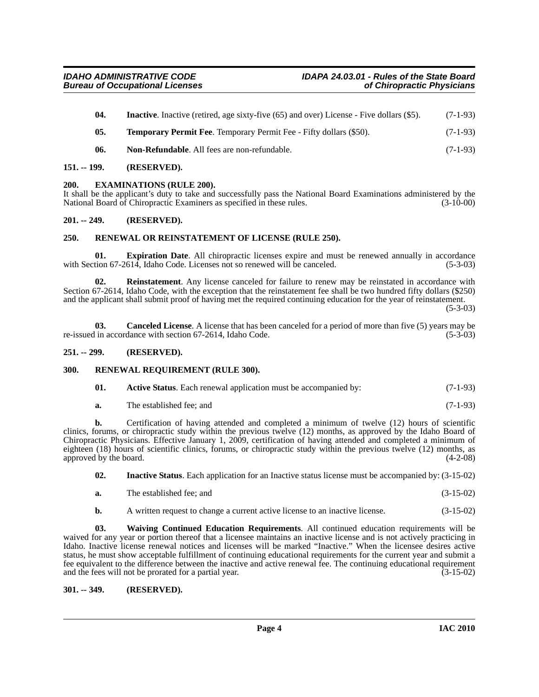<span id="page-3-16"></span><span id="page-3-12"></span><span id="page-3-10"></span>

| -04. | <b>Inactive.</b> Inactive (retired, age sixty-five (65) and over) License - Five dollars (\$5). | $(7-1-93)$ |
|------|-------------------------------------------------------------------------------------------------|------------|
| 05.  | <b>Temporary Permit Fee.</b> Temporary Permit Fee - Fifty dollars (\$50).                       | $(7-1-93)$ |
| 06.  | Non-Refundable. All fees are non-refundable.                                                    | $(7-1-93)$ |

#### <span id="page-3-0"></span>**151. -- 199. (RESERVED).**

#### <span id="page-3-1"></span>**200. EXAMINATIONS (RULE 200).**

It shall be the applicant's duty to take and successfully pass the National Board Examinations administered by the National Board of Chiropractic Examiners as specified in these rules. (3-10-00)

#### <span id="page-3-2"></span>**201. -- 249. (RESERVED).**

#### <span id="page-3-14"></span><span id="page-3-3"></span>**250. RENEWAL OR REINSTATEMENT OF LICENSE (RULE 250).**

<span id="page-3-9"></span>**01. Expiration Date**. All chiropractic licenses expire and must be renewed annually in accordance with Section 67-2614, Idaho Code. Licenses not so renewed will be canceled. (5-3-03)

<span id="page-3-13"></span>**02. Reinstatement**. Any license canceled for failure to renew may be reinstated in accordance with Section 67-2614, Idaho Code, with the exception that the reinstatement fee shall be two hundred fifty dollars (\$250) and the applicant shall submit proof of having met the required continuing education for the year of reinstatement.

(5-3-03)

<span id="page-3-8"></span>**03. Canceled License**. A license that has been canceled for a period of more than five (5) years may be re-issued in accordance with section 67-2614, Idaho Code. (5-3-03)

#### <span id="page-3-4"></span>**251. -- 299. (RESERVED).**

#### <span id="page-3-5"></span>**300. RENEWAL REQUIREMENT (RULE 300).**

<span id="page-3-15"></span><span id="page-3-7"></span>

**a.** The established fee; and (7-1-93)

**b.** Certification of having attended and completed a minimum of twelve (12) hours of scientific clinics, forums, or chiropractic study within the previous twelve (12) months, as approved by the Idaho Board of Chiropractic Physicians. Effective January 1, 2009, certification of having attended and completed a minimum of eighteen (18) hours of scientific clinics, forums, or chiropractic study within the previous twelve (12) months, as approved by the board. (4-2-08)

<span id="page-3-11"></span>**02. Inactive Status**. Each application for an Inactive status license must be accompanied by: (3-15-02)

- **a.** The established fee; and (3-15-02)
- <span id="page-3-17"></span>**b.** A written request to change a current active license to an inactive license.  $(3-15-02)$

**03. Waiving Continued Education Requirements**. All continued education requirements will be waived for any year or portion thereof that a licensee maintains an inactive license and is not actively practicing in Idaho. Inactive license renewal notices and licenses will be marked "Inactive." When the licensee desires active status, he must show acceptable fulfillment of continuing educational requirements for the current year and submit a fee equivalent to the difference between the inactive and active renewal fee. The continuing educational requirement and the fees will not be prorated for a partial year. (3-15-02)

<span id="page-3-6"></span>**301. -- 349. (RESERVED).**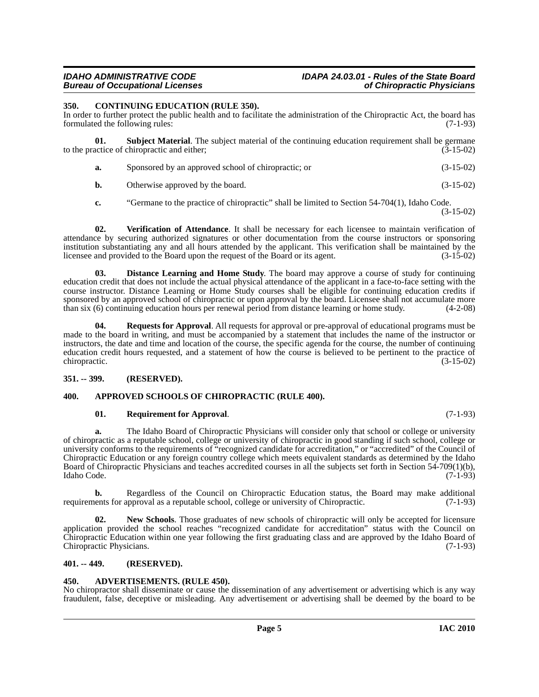#### <span id="page-4-7"></span><span id="page-4-0"></span>**350. CONTINUING EDUCATION (RULE 350).**

In order to further protect the public health and to facilitate the administration of the Chiropractic Act, the board has formulated the following rules: (7-1-93)

| <b>Subject Material.</b> The subject material of the continuing education requirement shall be germane |             |
|--------------------------------------------------------------------------------------------------------|-------------|
| to the practice of chiropractic and either;                                                            | $(3-15-02)$ |
| Sponsored by an approved school of chiropractic; or                                                    | $(3-15-02)$ |

- <span id="page-4-12"></span>**b.** Otherwise approved by the board. (3-15-02)
- <span id="page-4-13"></span>**c.** "Germane to the practice of chiropractic" shall be limited to Section 54-704(1), Idaho Code. (3-15-02)

**02. Verification of Attendance**. It shall be necessary for each licensee to maintain verification of attendance by securing authorized signatures or other documentation from the course instructors or sponsoring institution substantiating any and all hours attended by the applicant. This verification shall be maintained by the licensee and provided to the Board upon the request of the Board or its agent. (3-15-02)

<span id="page-4-8"></span>**03. Distance Learning and Home Study**. The board may approve a course of study for continuing education credit that does not include the actual physical attendance of the applicant in a face-to-face setting with the course instructor. Distance Learning or Home Study courses shall be eligible for continuing education credits if sponsored by an approved school of chiropractic or upon approval by the board. Licensee shall not accumulate more than six (6) continuing education hours per renewal period from distance learning or home study. (4-2-08)

<span id="page-4-10"></span>**04. Requests for Approval**. All requests for approval or pre-approval of educational programs must be made to the board in writing, and must be accompanied by a statement that includes the name of the instructor or instructors, the date and time and location of the course, the specific agenda for the course, the number of continuing education credit hours requested, and a statement of how the course is believed to be pertinent to the practice of chiropractic. (3-15-02)

#### <span id="page-4-1"></span>**351. -- 399. (RESERVED).**

#### <span id="page-4-2"></span>**400. APPROVED SCHOOLS OF CHIROPRACTIC (RULE 400).**

#### <span id="page-4-11"></span><span id="page-4-6"></span>**01. Requirement for Approval**. (7-1-93)

**a.** The Idaho Board of Chiropractic Physicians will consider only that school or college or university of chiropractic as a reputable school, college or university of chiropractic in good standing if such school, college or university conforms to the requirements of "recognized candidate for accreditation," or "accredited" of the Council of Chiropractic Education or any foreign country college which meets equivalent standards as determined by the Idaho Board of Chiropractic Physicians and teaches accredited courses in all the subjects set forth in Section 54-709(1)(b), Idaho Code. (7-1-93)

**b.** Regardless of the Council on Chiropractic Education status, the Board may make additional ents for approval as a reputable school, college or university of Chiropractic. (7-1-93) requirements for approval as a reputable school, college or university of Chiropractic.

<span id="page-4-9"></span>**02.** New Schools. Those graduates of new schools of chiropractic will only be accepted for licensure application provided the school reaches "recognized candidate for accreditation" status with the Council on Chiropractic Education within one year following the first graduating class and are approved by the Idaho Board of Chiropractic Physicians. (7-1-93)

#### <span id="page-4-3"></span>**401. -- 449. (RESERVED).**

#### <span id="page-4-5"></span><span id="page-4-4"></span>**450. ADVERTISEMENTS. (RULE 450).**

No chiropractor shall disseminate or cause the dissemination of any advertisement or advertising which is any way fraudulent, false, deceptive or misleading. Any advertisement or advertising shall be deemed by the board to be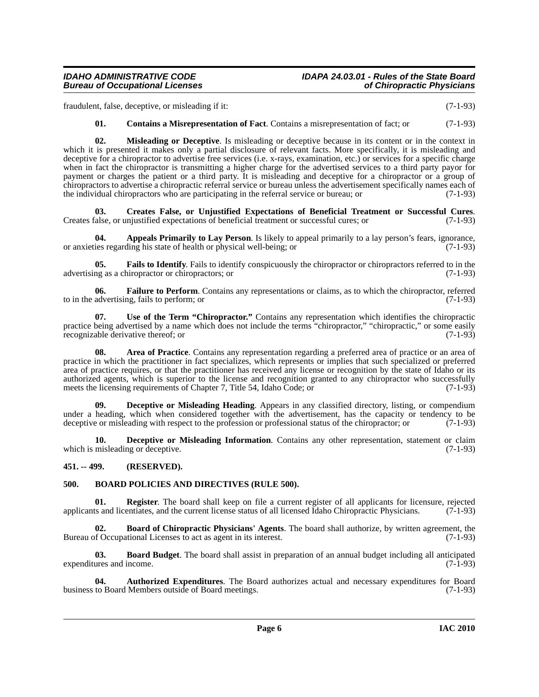## *IDAHO ADMINISTRATIVE CODE IDAPA 24.03.01 - Rules of the State Board*

fraudulent, false, deceptive, or misleading if it: (7-1-93)

<span id="page-5-14"></span><span id="page-5-8"></span>**01. Contains a Misrepresentation of Fact**. Contains a misrepresentation of fact; or (7-1-93)

**02. Misleading or Deceptive**. Is misleading or deceptive because in its content or in the context in which it is presented it makes only a partial disclosure of relevant facts. More specifically, it is misleading and deceptive for a chiropractor to advertise free services (i.e. x-rays, examination, etc.) or services for a specific charge when in fact the chiropractor is transmitting a higher charge for the advertised services to a third party payor for payment or charges the patient or a third party. It is misleading and deceptive for a chiropractor or a group of chiropractors to advertise a chiropractic referral service or bureau unless the advertisement specifically names each of the individual chiropractors who are participating in the referral service or bureau; or (7-1-93)

<span id="page-5-9"></span>**03. Creates False, or Unjustified Expectations of Beneficial Treatment or Successful Cures**. Creates false, or unjustified expectations of beneficial treatment or successful cures; or (7-1-93)

<span id="page-5-2"></span>**04.** Appeals Primarily to Lay Person. Is likely to appeal primarily to a lay person's fears, ignorance, ies regarding his state of health or physical well-being; or  $(7-1-93)$ or anxieties regarding his state of health or physical well-being; or

<span id="page-5-12"></span>**05. Fails to Identify**. Fails to identify conspicuously the chiropractor or chiropractors referred to in the advertising as a chiropractor or chiropractors; or (7-1-93)

<span id="page-5-13"></span>**06.** Failure to Perform. Contains any representations or claims, as to which the chiropractor, referred advertising, fails to perform; or to in the advertising, fails to perform; or

<span id="page-5-16"></span>**07. Use of the Term "Chiropractor."** Contains any representation which identifies the chiropractic practice being advertised by a name which does not include the terms "chiropractor," "chiropractic," or some easily recognizable derivative thereof; or (7-1-93)

<span id="page-5-3"></span>**08. Area of Practice**. Contains any representation regarding a preferred area of practice or an area of practice in which the practitioner in fact specializes, which represents or implies that such specialized or preferred area of practice requires, or that the practitioner has received any license or recognition by the state of Idaho or its authorized agents, which is superior to the license and recognition granted to any chiropractor who successfully meets the licensing requirements of Chapter 7, Title 54, Idaho Code; or (7-1-93)

<span id="page-5-10"></span>**09. Deceptive or Misleading Heading**. Appears in any classified directory, listing, or compendium under a heading, which when considered together with the advertisement, has the capacity or tendency to be deceptive or misleading with respect to the profession or professional status of the chiropractor; or (7-1-93)

<span id="page-5-11"></span>**10. Deceptive or Misleading Information**. Contains any other representation, statement or claim misleading or deceptive. (7-1-93) which is misleading or deceptive.

#### <span id="page-5-0"></span>**451. -- 499. (RESERVED).**

#### <span id="page-5-7"></span><span id="page-5-1"></span>**500. BOARD POLICIES AND DIRECTIVES (RULE 500).**

<span id="page-5-15"></span>**01. Register**. The board shall keep on file a current register of all applicants for licensure, rejected applicants and licentiates, and the current license status of all licensed Idaho Chiropractic Physicians. (7-1-93)

<span id="page-5-6"></span>**02. Board of Chiropractic Physicians' Agents**. The board shall authorize, by written agreement, the of Occupational Licenses to act as agent in its interest. Bureau of Occupational Licenses to act as agent in its interest.

<span id="page-5-5"></span>**03. Board Budget**. The board shall assist in preparation of an annual budget including all anticipated expenditures and income. (7-1-93)

<span id="page-5-4"></span>**04.** Authorized Expenditures. The Board authorizes actual and necessary expenditures for Board to Board Members outside of Board meetings. (7-1-93) business to Board Members outside of Board meetings.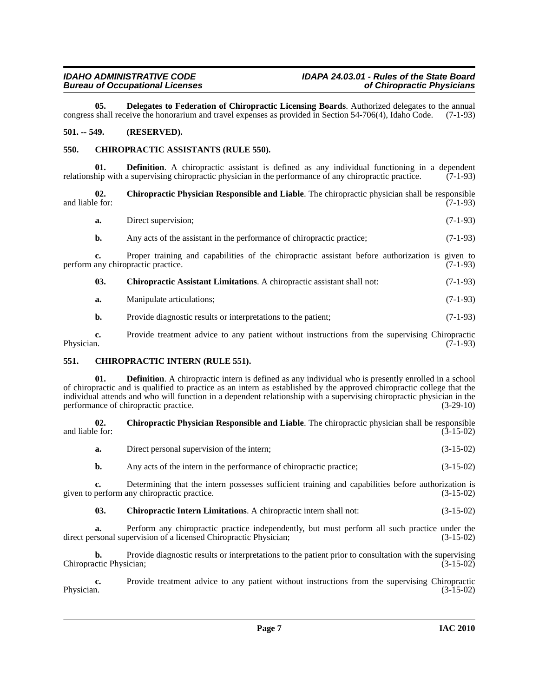<span id="page-6-9"></span>**05. Delegates to Federation of Chiropractic Licensing Boards**. Authorized delegates to the annual shall receive the honorarium and travel expenses as provided in Section 54-706(4), Idaho Code. (7-1-93) congress shall receive the honorarium and travel expenses as provided in Section 54-706(4), Idaho Code.

#### <span id="page-6-0"></span>**501. -- 549. (RESERVED).**

#### <span id="page-6-4"></span><span id="page-6-1"></span>**550. CHIROPRACTIC ASSISTANTS (RULE 550).**

**01. Definition**. A chiropractic assistant is defined as any individual functioning in a dependent relationship with a supervising chiropractic physician in the performance of any chiropractic practice. (7-1-93)

**02. Chiropractic Physician Responsible and Liable**. The chiropractic physician shall be responsible and liable for:  $(7-1-93)$ 

- <span id="page-6-7"></span>**a.** Direct supervision; (7-1-93)
- **b.** Any acts of the assistant in the performance of chiropractic practice; (7-1-93)

**c.** Proper training and capabilities of the chiropractic assistant before authorization is given to perform any chiropractic practice. (7-1-93)

- <span id="page-6-3"></span>**03. Chiropractic Assistant Limitations**. A chiropractic assistant shall not: (7-1-93)
- **a.** Manipulate articulations; (7-1-93)
- **b.** Provide diagnostic results or interpretations to the patient; (7-1-93)

**c.** Provide treatment advice to any patient without instructions from the supervising Chiropractic Physician. (7-1-93) Physician.  $(7-1-93)$ 

#### <span id="page-6-5"></span><span id="page-6-2"></span>**551. CHIROPRACTIC INTERN (RULE 551).**

**01. Definition**. A chiropractic intern is defined as any individual who is presently enrolled in a school of chiropractic and is qualified to practice as an intern as established by the approved chiropractic college that the individual attends and who will function in a dependent relationship with a supervising chiropractic physician in the performance of chiropractic practice. (3-29-10) performance of chiropractic practice.

**02. Chiropractic Physician Responsible and Liable**. The chiropractic physician shall be responsible and liable for:  $(3-15-02)$ 

<span id="page-6-8"></span>**a.** Direct personal supervision of the intern; (3-15-02)

**b.** Any acts of the intern in the performance of chiropractic practice; (3-15-02)

**c.** Determining that the intern possesses sufficient training and capabilities before authorization is perform any chiropractic practice. (3-15-02) given to perform any chiropractic practice.

#### <span id="page-6-6"></span>**03. Chiropractic Intern Limitations**. A chiropractic intern shall not: (3-15-02)

**a.** Perform any chiropractic practice independently, but must perform all such practice under the rsonal supervision of a licensed Chiropractic Physician; (3-15-02) direct personal supervision of a licensed Chiropractic Physician;

**b.** Provide diagnostic results or interpretations to the patient prior to consultation with the supervising Chiropractic Physician; (3-15-02)

**c.** Provide treatment advice to any patient without instructions from the supervising Chiropractic Physician. (3-15-02) Physician.  $(3-15-02)$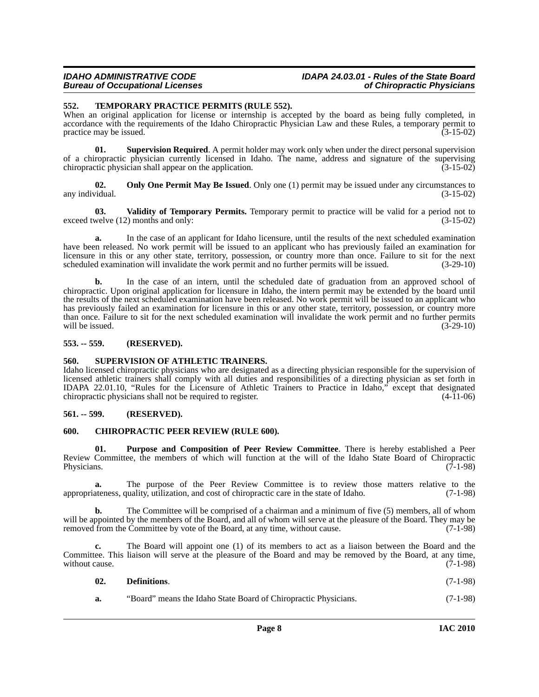## *IDAHO ADMINISTRATIVE CODE IDAPA 24.03.01 - Rules of the State Board*

#### <span id="page-7-10"></span><span id="page-7-0"></span>**552. TEMPORARY PRACTICE PERMITS (RULE 552).**

When an original application for license or internship is accepted by the board as being fully completed, in accordance with the requirements of the Idaho Chiropractic Physician Law and these Rules, a temporary permit to practice may be issued. (3-15-02) practice may be issued.

<span id="page-7-9"></span>**01.** Supervision Required. A permit holder may work only when under the direct personal supervision of a chiropractic physician currently licensed in Idaho. The name, address and signature of the supervising chiropractic physician shall appear on the application. (3-15-02)

<span id="page-7-6"></span>**02.** Only One Permit May Be Issued. Only one (1) permit may be issued under any circumstances to any individual. (3-15-02) (3-15-02)

<span id="page-7-11"></span>**03. Validity of Temporary Permits.** Temporary permit to practice will be valid for a period not to exceed twelve (12) months and only: (3-15-02)

**a.** In the case of an applicant for Idaho licensure, until the results of the next scheduled examination have been released. No work permit will be issued to an applicant who has previously failed an examination for licensure in this or any other state, territory, possession, or country more than once. Failure to sit for the next scheduled examination will invalidate the work permit and no further permits will be issued. (3-29-10)

**b.** In the case of an intern, until the scheduled date of graduation from an approved school of chiropractic. Upon original application for licensure in Idaho, the intern permit may be extended by the board until the results of the next scheduled examination have been released. No work permit will be issued to an applicant who has previously failed an examination for licensure in this or any other state, territory, possession, or country more than once. Failure to sit for the next scheduled examination will invalidate the work permit and no further permits will be issued. (3-29-10) will be issued.  $(3-29-10)$ 

#### <span id="page-7-1"></span>**553. -- 559. (RESERVED).**

#### <span id="page-7-8"></span><span id="page-7-2"></span>**560. SUPERVISION OF ATHLETIC TRAINERS.**

Idaho licensed chiropractic physicians who are designated as a directing physician responsible for the supervision of licensed athletic trainers shall comply with all duties and responsibilities of a directing physician as set forth in IDAPA 22.01.10, "Rules for the Licensure of Athletic Trainers to Practice in Idaho," except that designated chiropractic physicians shall not be required to register. (4-11-06)

#### <span id="page-7-3"></span>**561. -- 599. (RESERVED).**

#### <span id="page-7-5"></span><span id="page-7-4"></span>**600. CHIROPRACTIC PEER REVIEW (RULE 600).**

<span id="page-7-7"></span>**01. Purpose and Composition of Peer Review Committee**. There is hereby established a Peer Review Committee, the members of which will function at the will of the Idaho State Board of Chiropractic Physicians.  $(7-1-98)$ 

**a.** The purpose of the Peer Review Committee is to review those matters relative to the appropriateness, quality, utilization, and cost of chiropractic care in the state of Idaho. (7-1-98)

**b.** The Committee will be comprised of a chairman and a minimum of five (5) members, all of whom will be appointed by the members of the Board, and all of whom will serve at the pleasure of the Board. They may be removed from the Committee by vote of the Board, at any time, without cause. (7-1-98)

**c.** The Board will appoint one (1) of its members to act as a liaison between the Board and the Committee. This liaison will serve at the pleasure of the Board and may be removed by the Board, at any time, without cause.  $(7-1-98)$ 

| 02. | Definitions. |  |  | $(7-1-98)$ |
|-----|--------------|--|--|------------|
|     |              |  |  |            |

**a.** "Board" means the Idaho State Board of Chiropractic Physicians. (7-1-98)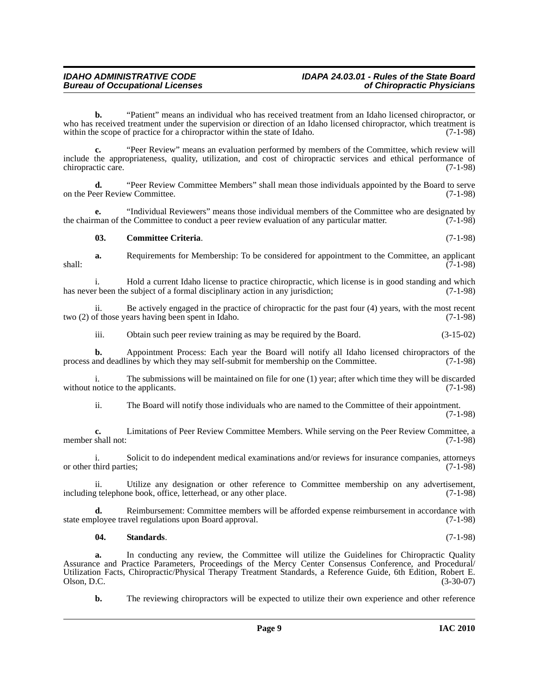**b.** "Patient" means an individual who has received treatment from an Idaho licensed chiropractor, or who has received treatment under the supervision or direction of an Idaho licensed chiropractor, which treatment is within the scope of practice for a chiropractor within the state of Idaho. (7-1-98) within the scope of practice for a chiropractor within the state of Idaho.

**c.** "Peer Review" means an evaluation performed by members of the Committee, which review will include the appropriateness, quality, utilization, and cost of chiropractic services and ethical performance of chiropractic care. (7-1-98)

**d.** "Peer Review Committee Members" shall mean those individuals appointed by the Board to serve eer Review Committee. (7-1-98) on the Peer Review Committee.

**e.** "Individual Reviewers" means those individual members of the Committee who are designated by the chairman of the Committee to conduct a peer review evaluation of any particular matter. (7-1-98)

#### <span id="page-8-0"></span>**03. Committee Criteria**. (7-1-98)

**a.** Requirements for Membership: To be considered for appointment to the Committee, an applicant  $\frac{1}{7}$  shall:  $\frac{1}{7}$  shall:  $\frac{1}{7}$  shall:  $\frac{1}{7}$  shall:

i. Hold a current Idaho license to practice chiropractic, which license is in good standing and which r been the subject of a formal disciplinary action in any jurisdiction: (7-1-98) has never been the subject of a formal disciplinary action in any jurisdiction;

ii. Be actively engaged in the practice of chiropractic for the past four (4) years, with the most recent two (2) of those years having been spent in Idaho. (7-1-98)

iii. Obtain such peer review training as may be required by the Board. (3-15-02)

**b.** Appointment Process: Each year the Board will notify all Idaho licensed chiropractors of the process and deadlines by which they may self-submit for membership on the Committee. (7-1-98)

i. The submissions will be maintained on file for one (1) year; after which time they will be discarded without notice to the applicants. (7-1-98)

ii. The Board will notify those individuals who are named to the Committee of their appointment. (7-1-98)

**c.** Limitations of Peer Review Committee Members. While serving on the Peer Review Committee, a member shall not: (7-1-98)

i. Solicit to do independent medical examinations and/or reviews for insurance companies, attorneys or other third parties; (7-1-98)

ii. Utilize any designation or other reference to Committee membership on any advertisement, including telephone book, office, letterhead, or any other place. (7-1-98)

**d.** Reimbursement: Committee members will be afforded expense reimbursement in accordance with state employee travel regulations upon Board approval. (7-1-98)

#### <span id="page-8-1"></span>**04. Standards**. (7-1-98)

In conducting any review, the Committee will utilize the Guidelines for Chiropractic Quality Assurance and Practice Parameters, Proceedings of the Mercy Center Consensus Conference, and Procedural/ Utilization Facts, Chiropractic/Physical Therapy Treatment Standards, a Reference Guide, 6th Edition, Robert E. Olson, D.C. (3-30-07)

**b.** The reviewing chiropractors will be expected to utilize their own experience and other reference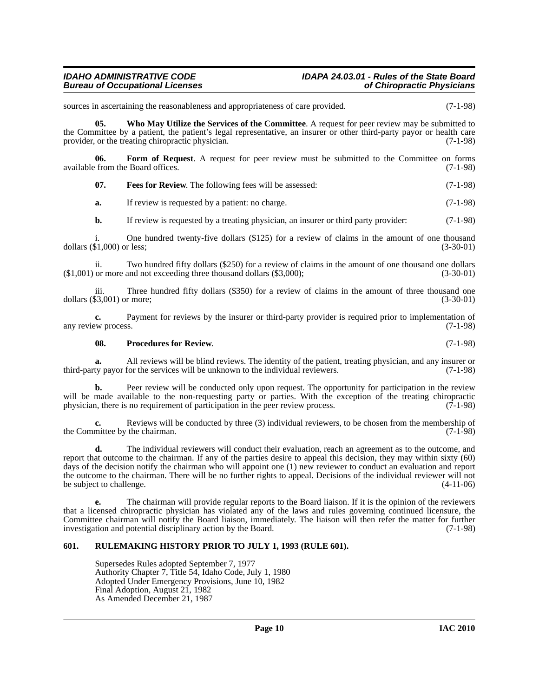## *IDAHO ADMINISTRATIVE CODE IDAPA 24.03.01 - Rules of the State Board*

sources in ascertaining the reasonableness and appropriateness of care provided.  $(7-1-98)$ 

<span id="page-9-4"></span>**05.** Who May Utilize the Services of the Committee. A request for peer review may be submitted to the Committee by a patient, the patient's legal representative, an insurer or other third-party payor or health care provider, or the treating chiropractic physician. (7-1-98)

**06. Form of Request**. A request for peer review must be submitted to the Committee on forms from the Board offices. (7-1-98) available from the Board offices.

<span id="page-9-2"></span><span id="page-9-1"></span>**07. Fees for Review**. The following fees will be assessed: (7-1-98)

**a.** If review is requested by a patient: no charge. (7-1-98)

**b.** If review is requested by a treating physician, an insurer or third party provider: (7-1-98)

i. One hundred twenty-five dollars  $(\$125)$  for a review of claims in the amount of one thousand  $\$1,000$  or less;  $(3-30-01)$ dollars  $(\$1,000)$  or less;

ii. Two hundred fifty dollars (\$250) for a review of claims in the amount of one thousand one dollars or more and not exceeding three thousand dollars (\$3,000): (3-30-01)  $($1,001)$  or more and not exceeding three thousand dollars  $($3,000)$ ;

iii. Three hundred fifty dollars  $(\$350)$  for a review of claims in the amount of three thousand one  $\$3,001)$  or more;  $(3-30-01)$ dollars  $(\$3,001)$  or more;

**c.** Payment for reviews by the insurer or third-party provider is required prior to implementation of  $(7-1-98)$ any review process.

#### <span id="page-9-3"></span>**08. Procedures for Review**. (7-1-98)

**a.** All reviews will be blind reviews. The identity of the patient, treating physician, and any insurer or ty payor for the services will be unknown to the individual reviewers. (7-1-98) third-party payor for the services will be unknown to the individual reviewers.

Peer review will be conducted only upon request. The opportunity for participation in the review will be made available to the non-requesting party or parties. With the exception of the treating chiropractic physician, there is no requirement of participation in the peer review process. (7-1-98) physician, there is no requirement of participation in the peer review process.

**c.** Reviews will be conducted by three (3) individual reviewers, to be chosen from the membership of the Committee by the chairman. (7-1-98)

**d.** The individual reviewers will conduct their evaluation, reach an agreement as to the outcome, and report that outcome to the chairman. If any of the parties desire to appeal this decision, they may within sixty (60) days of the decision notify the chairman who will appoint one (1) new reviewer to conduct an evaluation and report the outcome to the chairman. There will be no further rights to appeal. Decisions of the individual reviewer will not<br>be subject to challenge. (4-11-06) be subject to challenge.

**e.** The chairman will provide regular reports to the Board liaison. If it is the opinion of the reviewers that a licensed chiropractic physician has violated any of the laws and rules governing continued licensure, the Committee chairman will notify the Board liaison, immediately. The liaison will then refer the matter for further investigation and potential disciplinary action by the Board. (7-1-98)

#### <span id="page-9-0"></span>**601. RULEMAKING HISTORY PRIOR TO JULY 1, 1993 (RULE 601).**

Supersedes Rules adopted September 7, 1977 Authority Chapter 7, Title 54, Idaho Code, July 1, 1980 Adopted Under Emergency Provisions, June 10, 1982 Final Adoption, August 21, 1982 As Amended December 21, 1987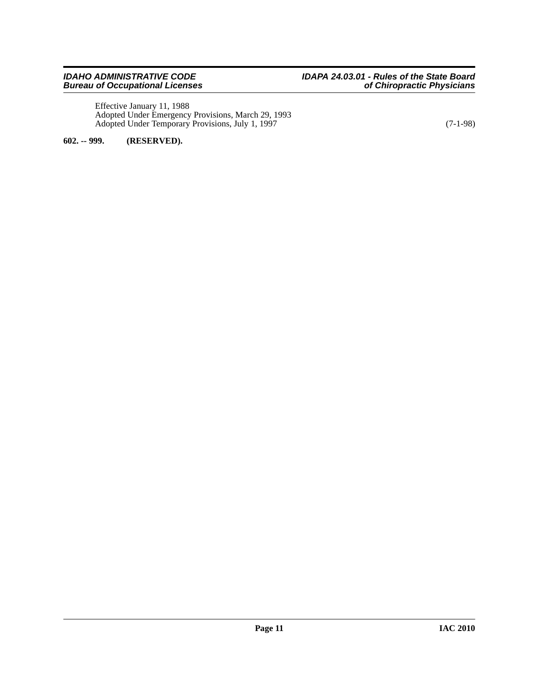Effective January 11, 1988 Adopted Under Emergency Provisions, March 29, 1993 Adopted Under Temporary Provisions, July 1, 1997 (7-1-98)

<span id="page-10-0"></span>**602. -- 999. (RESERVED).**